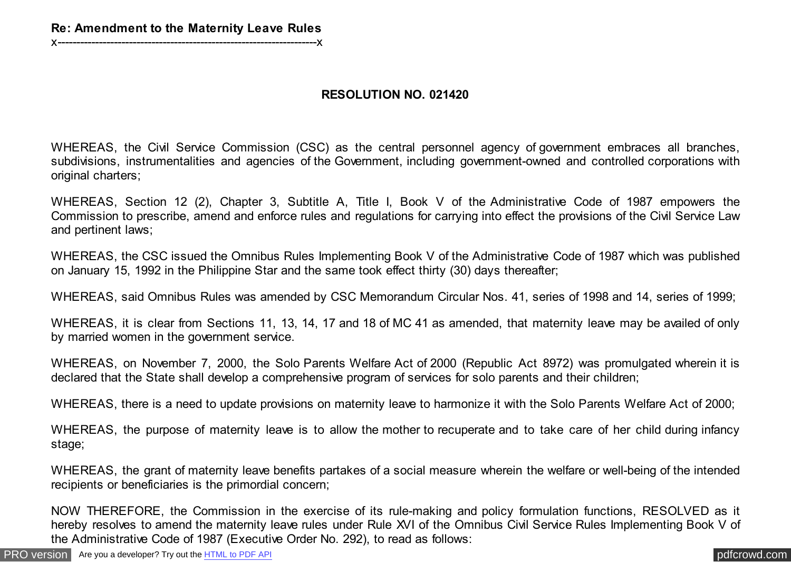## **RESOLUTION NO. 021420**

WHEREAS, the Civil Service Commission (CSC) as the central personnel agency of government embraces all branches, subdivisions, instrumentalities and agencies of the Government, including government-owned and controlled corporations with original charters;

WHEREAS, Section 12 (2), Chapter 3, Subtitle A, Title I, Book V of the Administrative Code of 1987 empowers the Commission to prescribe, amend and enforce rules and regulations for carrying into effect the provisions of the Civil Service Law and pertinent laws;

WHEREAS, the CSC issued the Omnibus Rules Implementing Book V of the Administrative Code of 1987 which was published on January 15, 1992 in the Philippine Star and the same took effect thirty (30) days thereafter;

WHEREAS, said Omnibus Rules was amended by CSC Memorandum Circular Nos. 41, series of 1998 and 14, series of 1999;

WHEREAS, it is clear from Sections 11, 13, 14, 17 and 18 of MC 41 as amended, that maternity leave may be availed of only by married women in the government service.

WHEREAS, on November 7, 2000, the Solo Parents Welfare Act of 2000 (Republic Act 8972) was promulgated wherein it is declared that the State shall develop a comprehensive program of services for solo parents and their children;

WHEREAS, there is a need to update provisions on maternity leave to harmonize it with the Solo Parents Welfare Act of 2000;

WHEREAS, the purpose of maternity leave is to allow the mother to recuperate and to take care of her child during infancy stage;

WHEREAS, the grant of maternity leave benefits partakes of a social measure wherein the welfare or well-being of the intended recipients or beneficiaries is the primordial concern;

NOW THEREFORE, the Commission in the exercise of its rule-making and policy formulation functions, RESOLVED as it hereby resolves to amend the maternity leave rules under Rule XVI of the Omnibus Civil Service Rules Implementing Book V of the Administrative Code of 1987 (Executive Order No. 292), to read as follows: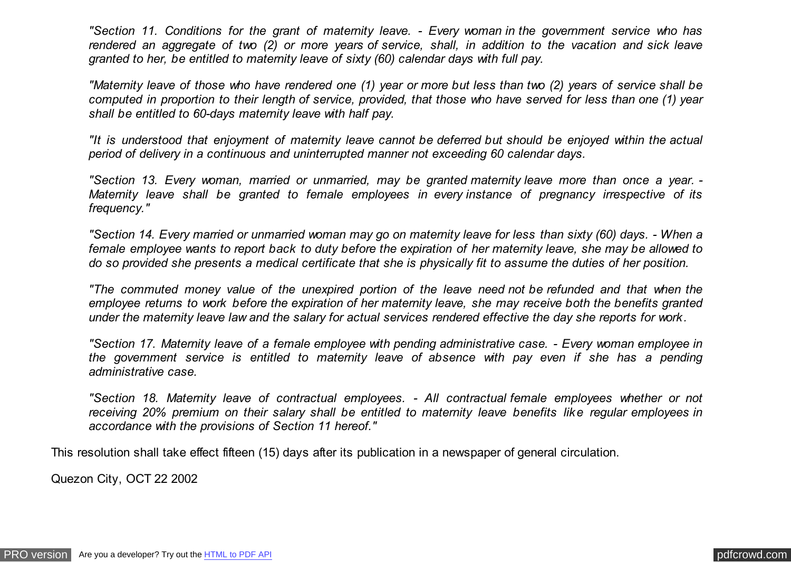*"Section 11. Conditions for the grant of maternity leave. - Every woman in the government service who has rendered an aggregate of two (2) or more years of service, shall, in addition to the vacation and sick leave granted to her, be entitled to maternity leave of sixty (60) calendar days with full pay.*

*"Maternity leave of those who have rendered one (1) year or more but less than two (2) years of service shall be computed in proportion to their length of service, provided, that those who have served for less than one (1) year shall be entitled to 60-days maternity leave with half pay.*

*"It is understood that enjoyment of maternity leave cannot be deferred but should be enjoyed within the actual period of delivery in a continuous and uninterrupted manner not exceeding 60 calendar days.*

*"Section 13. Every woman, married or unmarried, may be granted maternity leave more than once a year. - Maternity leave shall be granted to female employees in every instance of pregnancy irrespective of its frequency."*

*"Section 14. Every married or unmarried woman may go on maternity leave for less than sixty (60) days. - When a female employee wants to report back to duty before the expiration of her maternity leave, she may be allowed to do so provided she presents a medical certificate that she is physically fit to assume the duties of her position.*

*"The commuted money value of the unexpired portion of the leave need not be refunded and that when the employee returns to work before the expiration of her maternity leave, she may receive both the benefits granted under the maternity leave law and the salary for actual services rendered effective the day she reports for work.*

*"Section 17. Maternity leave of a female employee with pending administrative case. - Every woman employee in the government service is entitled to maternity leave of absence with pay even if she has a pending administrative case.*

*"Section 18. Maternity leave of contractual employees. - All contractual female employees whether or not receiving 20% premium on their salary shall be entitled to maternity leave benefits like regular employees in accordance with the provisions of Section 11 hereof."*

This resolution shall take effect fifteen (15) days after its publication in a newspaper of general circulation.

Quezon City, OCT 22 2002